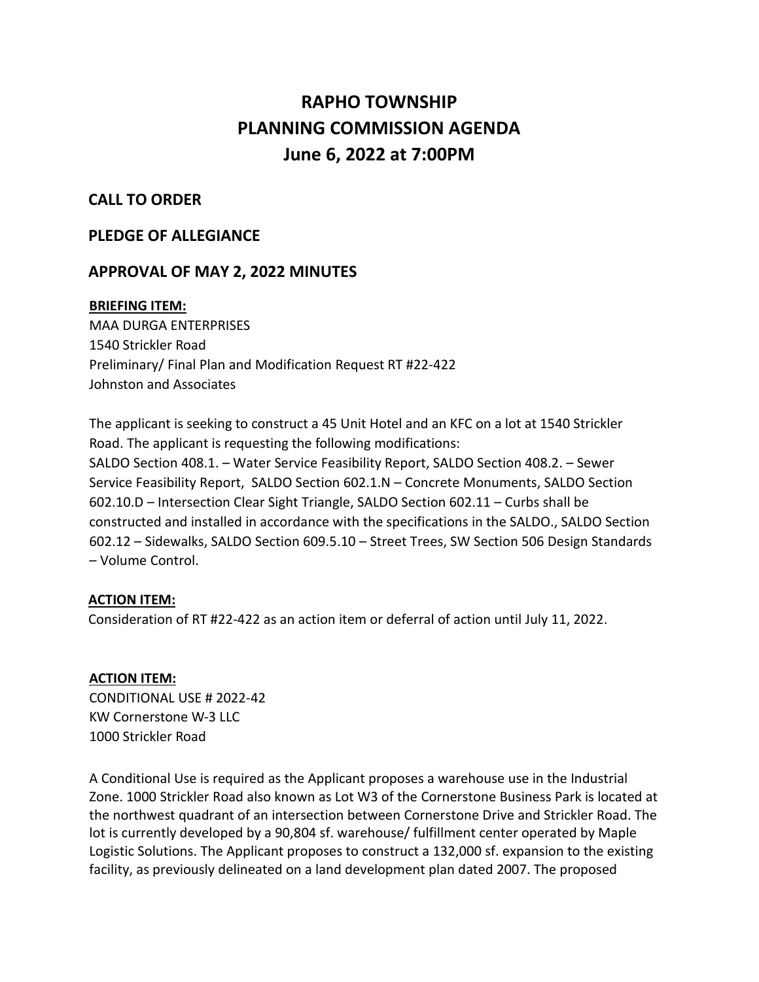# **RAPHO TOWNSHIP PLANNING COMMISSION AGENDA June 6, 2022 at 7:00PM**

## **CALL TO ORDER**

## **PLEDGE OF ALLEGIANCE**

## **APPROVAL OF MAY 2, 2022 MINUTES**

#### **BRIEFING ITEM:**

MAA DURGA ENTERPRISES 1540 Strickler Road Preliminary/ Final Plan and Modification Request RT #22-422 Johnston and Associates

The applicant is seeking to construct a 45 Unit Hotel and an KFC on a lot at 1540 Strickler Road. The applicant is requesting the following modifications: SALDO Section 408.1. – Water Service Feasibility Report, SALDO Section 408.2. – Sewer Service Feasibility Report, SALDO Section 602.1.N – Concrete Monuments, SALDO Section 602.10.D – Intersection Clear Sight Triangle, SALDO Section 602.11 – Curbs shall be constructed and installed in accordance with the specifications in the SALDO., SALDO Section 602.12 – Sidewalks, SALDO Section 609.5.10 – Street Trees, SW Section 506 Design Standards – Volume Control.

## **ACTION ITEM:**

Consideration of RT #22-422 as an action item or deferral of action until July 11, 2022.

#### **ACTION ITEM:**

CONDITIONAL USE # 2022-42 KW Cornerstone W-3 LLC 1000 Strickler Road

A Conditional Use is required as the Applicant proposes a warehouse use in the Industrial Zone. 1000 Strickler Road also known as Lot W3 of the Cornerstone Business Park is located at the northwest quadrant of an intersection between Cornerstone Drive and Strickler Road. The lot is currently developed by a 90,804 sf. warehouse/ fulfillment center operated by Maple Logistic Solutions. The Applicant proposes to construct a 132,000 sf. expansion to the existing facility, as previously delineated on a land development plan dated 2007. The proposed